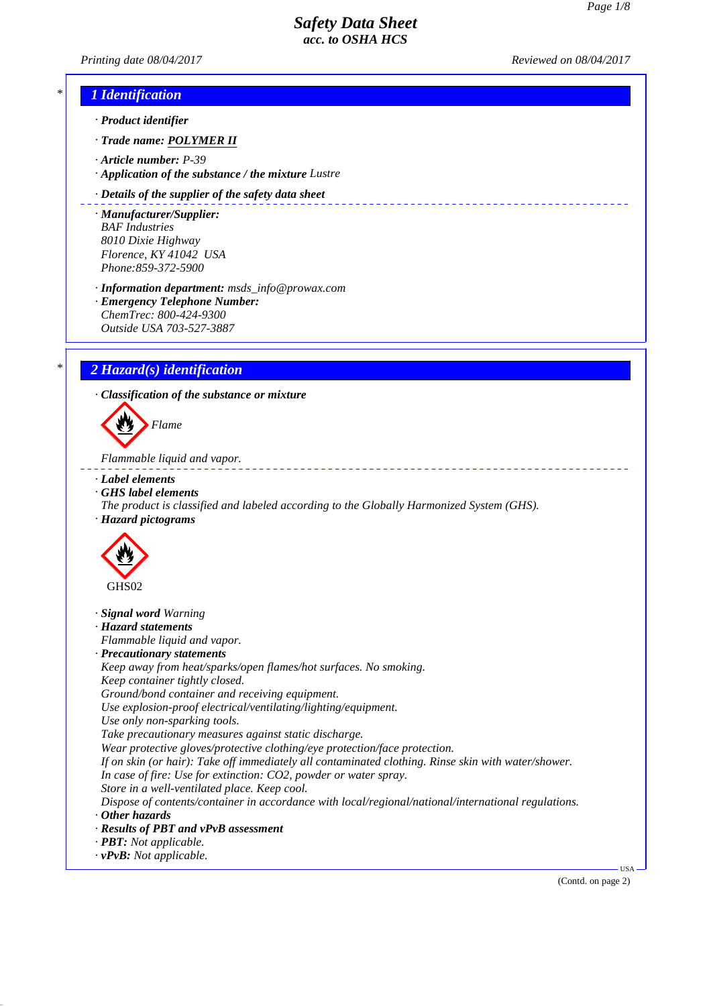-------------------------

*Printing date 08/04/2017 Reviewed on 08/04/2017*

# *\* 1 Identification*

- *· Product identifier*
- *· Trade name: POLYMER II*
- *· Article number: P-39*
- *· Application of the substance / the mixture Lustre*

#### *· Details of the supplier of the safety data sheet*

- *· Manufacturer/Supplier: BAF Industries 8010 Dixie Highway Florence, KY 41042 USA Phone:859-372-5900*
- *· Information department: msds\_info@prowax.com · Emergency Telephone Number: ChemTrec: 800-424-9300*
- *Outside USA 703-527-3887*

# *\* 2 Hazard(s) identification*

*· Classification of the substance or mixture*



*Flammable liquid and vapor.* 

- *· Label elements*
- *· GHS label elements*
- *The product is classified and labeled according to the Globally Harmonized System (GHS). · Hazard pictograms*



- *· Signal word Warning*
- *· Hazard statements*
- *Flammable liquid and vapor.*
- *· Precautionary statements*
- *Keep away from heat/sparks/open flames/hot surfaces. No smoking. Keep container tightly closed. Ground/bond container and receiving equipment.*
- *Use explosion-proof electrical/ventilating/lighting/equipment.*
- *Use only non-sparking tools.*
- *Take precautionary measures against static discharge.*
- *Wear protective gloves/protective clothing/eye protection/face protection.*
- *If on skin (or hair): Take off immediately all contaminated clothing. Rinse skin with water/shower.*
- *In case of fire: Use for extinction: CO2, powder or water spray.*
- *Store in a well-ventilated place. Keep cool.*
- *Dispose of contents/container in accordance with local/regional/national/international regulations. · Other hazards*
- 
- *· Results of PBT and vPvB assessment*
- *· PBT: Not applicable.*
- *· vPvB: Not applicable.*

(Contd. on page 2)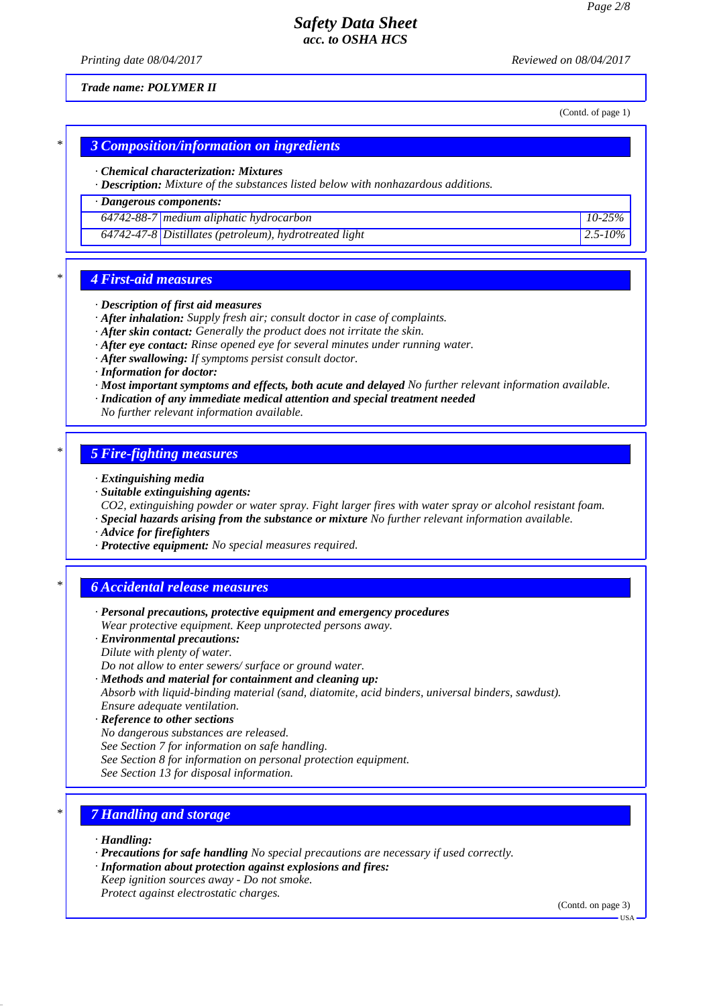*Printing date 08/04/2017 Reviewed on 08/04/2017*

*Trade name: POLYMER II*

(Contd. of page 1)

### *\* 3 Composition/information on ingredients*

#### *· Chemical characterization: Mixtures*

*· Description: Mixture of the substances listed below with nonhazardous additions.*

## *· Dangerous components:*

*64742-88-7 medium aliphatic hydrocarbon 10-25%*

*64742-47-8 Distillates (petroleum), hydrotreated light 2.5-10%*

### *\* 4 First-aid measures*

- *· Description of first aid measures*
- *· After inhalation: Supply fresh air; consult doctor in case of complaints.*
- *· After skin contact: Generally the product does not irritate the skin.*
- *· After eye contact: Rinse opened eye for several minutes under running water.*
- *· After swallowing: If symptoms persist consult doctor.*
- *· Information for doctor:*
- *· Most important symptoms and effects, both acute and delayed No further relevant information available.*
- *· Indication of any immediate medical attention and special treatment needed*
- *No further relevant information available.*

### *\* 5 Fire-fighting measures*

- *· Extinguishing media*
- *· Suitable extinguishing agents:*
- *CO2, extinguishing powder or water spray. Fight larger fires with water spray or alcohol resistant foam.*
- *· Special hazards arising from the substance or mixture No further relevant information available.*
- *· Advice for firefighters*
- *· Protective equipment: No special measures required.*

## *\* 6 Accidental release measures*

- *· Personal precautions, protective equipment and emergency procedures Wear protective equipment. Keep unprotected persons away.*
- *· Environmental precautions:*
- *Dilute with plenty of water.*

*Do not allow to enter sewers/ surface or ground water.*

- *· Methods and material for containment and cleaning up: Absorb with liquid-binding material (sand, diatomite, acid binders, universal binders, sawdust). Ensure adequate ventilation.*
- *· Reference to other sections No dangerous substances are released.*
- 

*See Section 7 for information on safe handling.*

- *See Section 8 for information on personal protection equipment.*
- *See Section 13 for disposal information.*

# *\* 7 Handling and storage*

- *· Handling:*
- *· Precautions for safe handling No special precautions are necessary if used correctly.*
- *· Information about protection against explosions and fires:*
- *Keep ignition sources away Do not smoke. Protect against electrostatic charges.*

(Contd. on page 3)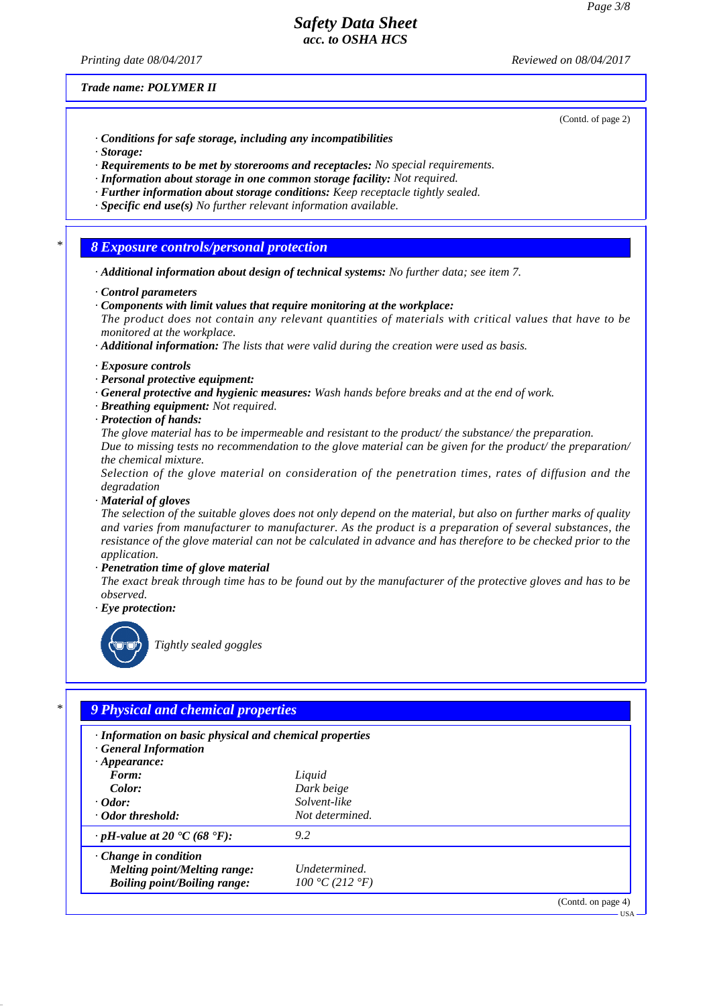*Printing date 08/04/2017 Reviewed on 08/04/2017*

#### *Trade name: POLYMER II*

(Contd. of page 2)

- *· Conditions for safe storage, including any incompatibilities*
- *· Storage:*
- *· Requirements to be met by storerooms and receptacles: No special requirements.*
- *· Information about storage in one common storage facility: Not required.*
- *· Further information about storage conditions: Keep receptacle tightly sealed.*
- *· Specific end use(s) No further relevant information available.*

### *\* 8 Exposure controls/personal protection*

- *· Additional information about design of technical systems: No further data; see item 7.*
- *· Control parameters*
- *· Components with limit values that require monitoring at the workplace:*
- *The product does not contain any relevant quantities of materials with critical values that have to be monitored at the workplace.*
- *· Additional information: The lists that were valid during the creation were used as basis.*
- *· Exposure controls*
- *· Personal protective equipment:*
- *· General protective and hygienic measures: Wash hands before breaks and at the end of work.*
- *· Breathing equipment: Not required.*
- *· Protection of hands:*

*The glove material has to be impermeable and resistant to the product/ the substance/ the preparation. Due to missing tests no recommendation to the glove material can be given for the product/ the preparation/ the chemical mixture.*

*Selection of the glove material on consideration of the penetration times, rates of diffusion and the degradation*

*· Material of gloves*

*The selection of the suitable gloves does not only depend on the material, but also on further marks of quality and varies from manufacturer to manufacturer. As the product is a preparation of several substances, the resistance of the glove material can not be calculated in advance and has therefore to be checked prior to the application.*

*· Penetration time of glove material*

*The exact break through time has to be found out by the manufacturer of the protective gloves and has to be observed.*

*· Eye protection:*



*Tightly sealed goggles*

# *\* 9 Physical and chemical properties · Information on basic physical and chemical properties · General Information · Appearance: Form: Liquid Color: Dark beige · Odor: Solvent-like · Odor threshold: Not determined. · pH-value at 20 °C (68 °F): 9.2 · Change in condition Melting point/Melting range: Undetermined. Boiling point/Boiling range: 100 °C (212 °F)* (Contd. on page 4) USA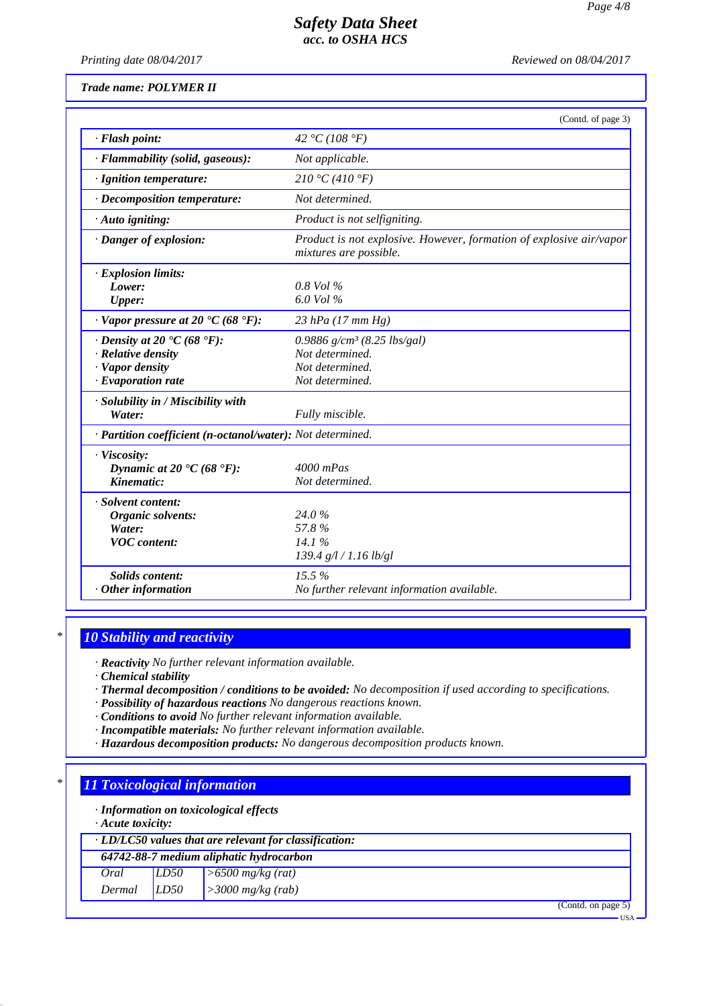*Printing date 08/04/2017 Reviewed on 08/04/2017*

|  | Trade name: POLYMER II |  |
|--|------------------------|--|
|--|------------------------|--|

|                                                                                                                      | (Contd. of page 3)                                                                            |
|----------------------------------------------------------------------------------------------------------------------|-----------------------------------------------------------------------------------------------|
| · Flash point:                                                                                                       | 42 °C (108 °F)                                                                                |
| · Flammability (solid, gaseous):                                                                                     | Not applicable.                                                                               |
| · Ignition temperature:                                                                                              | 210 °C (410 °F)                                                                               |
| $\cdot$ Decomposition temperature:                                                                                   | Not determined.                                                                               |
| · Auto igniting:                                                                                                     | Product is not selfigniting.                                                                  |
| · Danger of explosion:                                                                                               | Product is not explosive. However, formation of explosive air/vapor<br>mixtures are possible. |
| $\cdot$ Explosion limits:<br>Lower:                                                                                  | $0.8$ Vol $\%$                                                                                |
| <b>Upper:</b>                                                                                                        | 6.0 Vol %                                                                                     |
| $\cdot$ Vapor pressure at 20 $\rm{C}$ (68 $\rm{F}$ ):                                                                | $23$ hPa (17 mm Hg)                                                                           |
| $\cdot$ Density at 20 $\cdot$ C (68 $\cdot$ F):<br>· Relative density<br>· Vapor density<br>$\cdot$ Evaporation rate | 0.9886 $g/cm^3$ (8.25 lbs/gal)<br>Not determined.<br>Not determined.<br>Not determined.       |
| · Solubility in / Miscibility with<br>Water:                                                                         | Fully miscible.                                                                               |
| · Partition coefficient (n-octanol/water): Not determined.                                                           |                                                                                               |
| · Viscosity:<br>Dynamic at 20 $\textdegree$ C (68 $\textdegree$ F):<br>Kinematic:                                    | $4000$ mPas<br>Not determined.                                                                |
| · Solvent content:<br>Organic solvents:<br>Water:<br><b>VOC</b> content:                                             | 24.0%<br>57.8%<br>14.1%<br>139.4 g/l / 1.16 lb/gl                                             |
| <b>Solids content:</b><br>$·$ Other information                                                                      | 15.5%<br>No further relevant information available.                                           |

## *\* 10 Stability and reactivity*

*· Reactivity No further relevant information available.*

*· Chemical stability*

*· Thermal decomposition / conditions to be avoided: No decomposition if used according to specifications.*

*· Possibility of hazardous reactions No dangerous reactions known.*

*· Conditions to avoid No further relevant information available.*

- *· Incompatible materials: No further relevant information available.*
- *· Hazardous decomposition products: No dangerous decomposition products known.*

### *\* 11 Toxicological information*

*· Information on toxicological effects*

*· Acute toxicity:*

*· LD/LC50 values that are relevant for classification:*

*64742-88-7 medium aliphatic hydrocarbon*

| Oral   | LD50 | $\geq 6500$ mg/kg (rat)    |
|--------|------|----------------------------|
| Dermal | LD50 | $\vert$ > 3000 mg/kg (rab) |

(Contd. on page 5)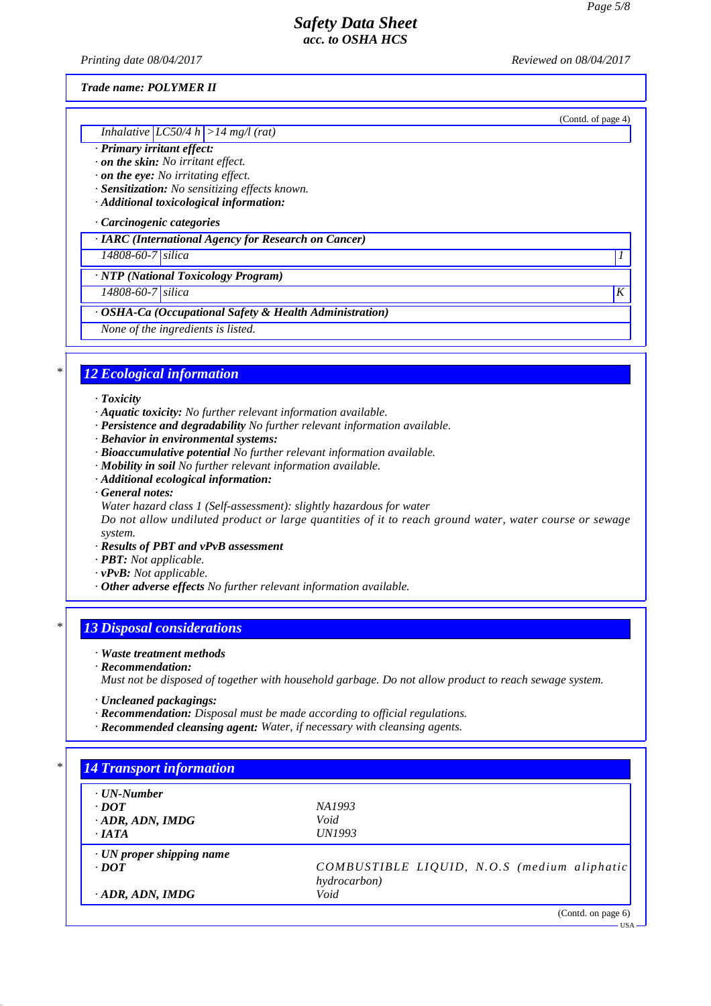*Printing date 08/04/2017 Reviewed on 08/04/2017*

(Contd. of page 4)

#### *Trade name: POLYMER II*

#### *Inhalative LC50/4 h >14 mg/l (rat)*

### *· Primary irritant effect:*

*· on the skin: No irritant effect.*

*· on the eye: No irritating effect.*

*· Sensitization: No sensitizing effects known.*

*· Additional toxicological information:*

#### *· Carcinogenic categories*

*· IARC (International Agency for Research on Cancer)*

*14808-60-7 silica 1* 

*· NTP (National Toxicology Program)*

*14808-60-7 silica K* 

### *· OSHA-Ca (Occupational Safety & Health Administration)*

*None of the ingredients is listed.*

## *\* 12 Ecological information*

#### *· Toxicity*

- *· Aquatic toxicity: No further relevant information available.*
- *· Persistence and degradability No further relevant information available.*
- *· Behavior in environmental systems:*
- *· Bioaccumulative potential No further relevant information available.*
- *· Mobility in soil No further relevant information available.*
- *· Additional ecological information:*
- *· General notes:*
- *Water hazard class 1 (Self-assessment): slightly hazardous for water*

*Do not allow undiluted product or large quantities of it to reach ground water, water course or sewage system.*

- *· Results of PBT and vPvB assessment*
- *· PBT: Not applicable.*
- *· vPvB: Not applicable.*
- *· Other adverse effects No further relevant information available.*

## *\* 13 Disposal considerations*

#### *· Waste treatment methods*

*· Recommendation:*

*Must not be disposed of together with household garbage. Do not allow product to reach sewage system.*

- *· Uncleaned packagings:*
- *· Recommendation: Disposal must be made according to official regulations.*
- *· Recommended cleansing agent: Water, if necessary with cleansing agents.*

| $\cdot$ UN-Number               |                                             |
|---------------------------------|---------------------------------------------|
| $\cdot$ <i>DOT</i>              | NA1993                                      |
| $\cdot$ ADR, ADN, IMDG          | Void                                        |
| $\cdot$ IATA                    | <i>UN1993</i>                               |
| $\cdot$ UN proper shipping name |                                             |
| $\cdot$ <i>DOT</i>              | COMBUSTIBLE LIQUID, N.O.S (medium aliphatic |
|                                 | hydrocarbon)                                |
| $\cdot$ ADR, ADN, IMDG          | Void                                        |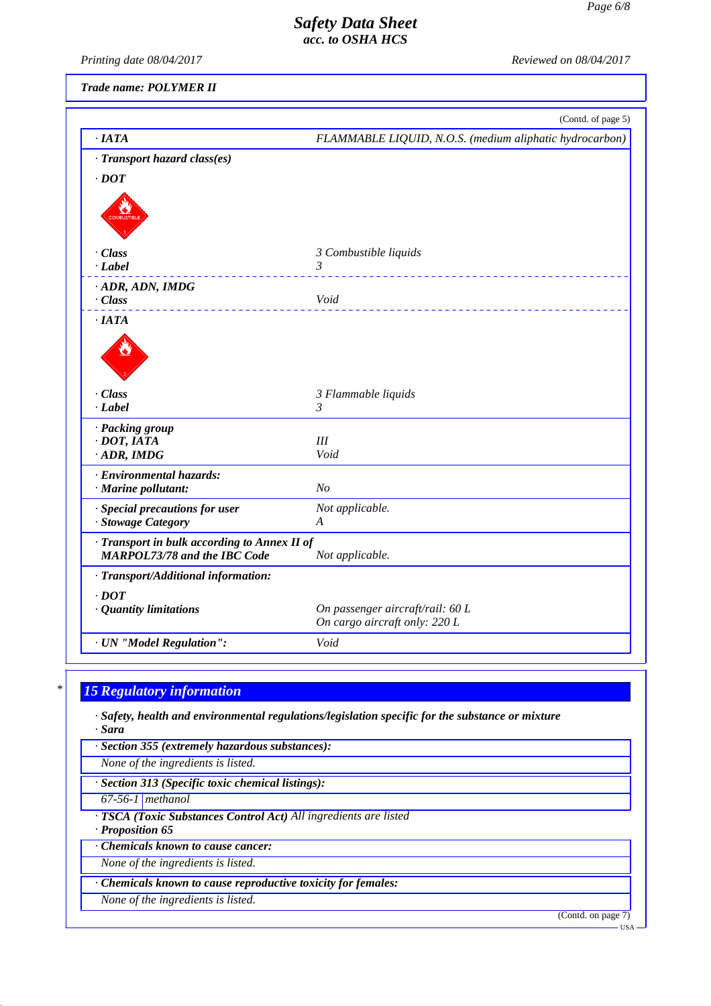*Printing date 08/04/2017 Reviewed on 08/04/2017*

*Trade name: POLYMER II*

|                                                                                     | (Contd. of page 5)                                      |
|-------------------------------------------------------------------------------------|---------------------------------------------------------|
| ·IATA                                                                               | FLAMMABLE LIQUID, N.O.S. (medium aliphatic hydrocarbon) |
| · Transport hazard class(es)                                                        |                                                         |
| $\cdot$ DOT                                                                         |                                                         |
|                                                                                     |                                                         |
| $\cdot$ Class                                                                       | 3 Combustible liquids                                   |
| $\cdot$ Label                                                                       | 3<br><u> - - - - - - - - - - - -</u>                    |
| · ADR, ADN, IMDG                                                                    |                                                         |
| $\cdot Class$                                                                       | Void                                                    |
| $\cdot$ IATA                                                                        |                                                         |
|                                                                                     |                                                         |
| $\cdot$ Class                                                                       | 3 Flammable liquids                                     |
| $-Label$                                                                            | 3                                                       |
| · Packing group                                                                     |                                                         |
| $\cdot$ DOT, IATA                                                                   | III                                                     |
| $\cdot$ ADR, IMDG                                                                   | Void                                                    |
| · Environmental hazards:                                                            |                                                         |
| · Marine pollutant:                                                                 | N <sub>O</sub>                                          |
| · Special precautions for user                                                      | Not applicable.                                         |
| · Stowage Category                                                                  | A                                                       |
| · Transport in bulk according to Annex II of<br><b>MARPOL73/78 and the IBC Code</b> | Not applicable.                                         |
| · Transport/Additional information:                                                 |                                                         |
| $\cdot$ <i>DOT</i>                                                                  |                                                         |
| · Quantity limitations                                                              | On passenger aircraft/rail: 60 L                        |
|                                                                                     | On cargo aircraft only: 220 L                           |
| · UN "Model Regulation":                                                            | Void                                                    |

# *\* 15 Regulatory information*

*· Safety, health and environmental regulations/legislation specific for the substance or mixture · Sara*

*· Section 355 (extremely hazardous substances):*

*None of the ingredients is listed.*

*· Section 313 (Specific toxic chemical listings):*

*67-56-1 methanol*

*· TSCA (Toxic Substances Control Act) All ingredients are listed*

*· Proposition 65*

*· Chemicals known to cause cancer:*

*None of the ingredients is listed.*

*· Chemicals known to cause reproductive toxicity for females:*

*None of the ingredients is listed.*

(Contd. on page 7)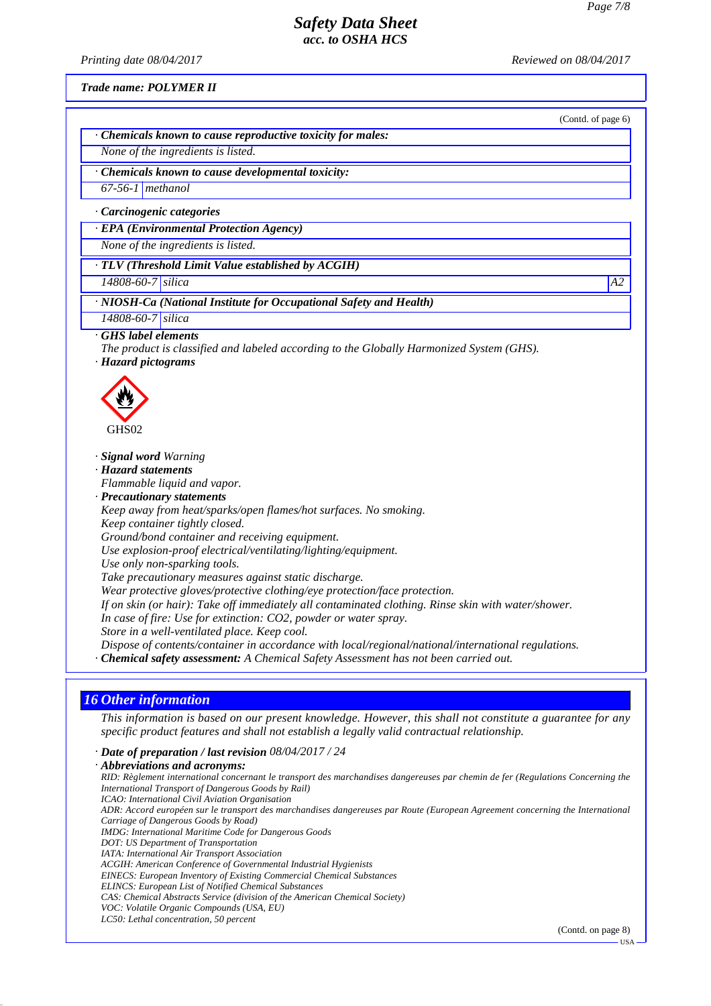*Printing date 08/04/2017 Reviewed on 08/04/2017*

(Contd. of page 6)

*Trade name: POLYMER II*

*· Chemicals known to cause reproductive toxicity for males:*

*None of the ingredients is listed.*

*· Chemicals known to cause developmental toxicity:*

*67-56-1 methanol*

*· Carcinogenic categories*

*· EPA (Environmental Protection Agency)*

*None of the ingredients is listed.*

*· TLV (Threshold Limit Value established by ACGIH)*

*14808-60-7 silica A2*

*· NIOSH-Ca (National Institute for Occupational Safety and Health)*

*14808-60-7 silica*

*· GHS label elements*

*The product is classified and labeled according to the Globally Harmonized System (GHS).*

*· Hazard pictograms*



*· Signal word Warning*

*· Hazard statements*

*Flammable liquid and vapor.*

*· Precautionary statements*

*Keep away from heat/sparks/open flames/hot surfaces. No smoking. Keep container tightly closed.*

*Ground/bond container and receiving equipment.*

*Use explosion-proof electrical/ventilating/lighting/equipment.*

*Use only non-sparking tools.*

*Take precautionary measures against static discharge.*

*Wear protective gloves/protective clothing/eye protection/face protection.*

*If on skin (or hair): Take off immediately all contaminated clothing. Rinse skin with water/shower.*

*In case of fire: Use for extinction: CO2, powder or water spray.*

*Store in a well-ventilated place. Keep cool.*

*Dispose of contents/container in accordance with local/regional/national/international regulations.*

*· Chemical safety assessment: A Chemical Safety Assessment has not been carried out.*

### *16 Other information*

*This information is based on our present knowledge. However, this shall not constitute a guarantee for any specific product features and shall not establish a legally valid contractual relationship.*

*· Date of preparation / last revision 08/04/2017 / 24*

*· Abbreviations and acronyms: RID: Règlement international concernant le transport des marchandises dangereuses par chemin de fer (Regulations Concerning the International Transport of Dangerous Goods by Rail) ICAO: International Civil Aviation Organisation ADR: Accord européen sur le transport des marchandises dangereuses par Route (European Agreement concerning the International Carriage of Dangerous Goods by Road) IMDG: International Maritime Code for Dangerous Goods DOT: US Department of Transportation IATA: International Air Transport Association ACGIH: American Conference of Governmental Industrial Hygienists EINECS: European Inventory of Existing Commercial Chemical Substances ELINCS: European List of Notified Chemical Substances CAS: Chemical Abstracts Service (division of the American Chemical Society) VOC: Volatile Organic Compounds (USA, EU) LC50: Lethal concentration, 50 percent*

(Contd. on page 8)